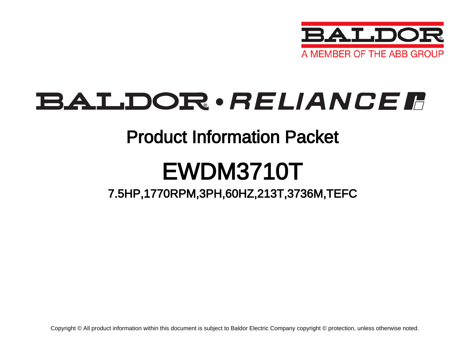

## BALDOR · RELIANCE F

### Product Information Packet

# EWDM3710T

### 7.5HP,1770RPM,3PH,60HZ,213T,3736M,TEFC

Copyright © All product information within this document is subject to Baldor Electric Company copyright © protection, unless otherwise noted.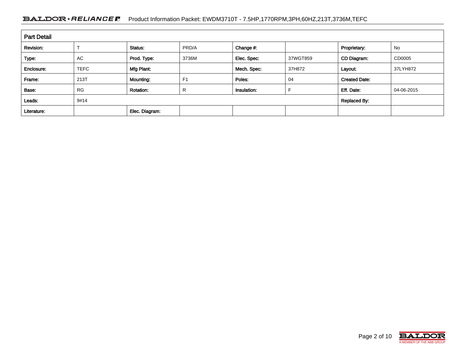#### BALDOR · RELIANCE F Product Information Packet: EWDM3710T - 7.5HP,1770RPM,3PH,60HZ,213T,3736M,TEFC

| <b>Part Detail</b> |             |                  |                |             |          |                      |            |  |
|--------------------|-------------|------------------|----------------|-------------|----------|----------------------|------------|--|
| Revision:          |             | Status:          | PRD/A          | Change #:   |          | Proprietary:         | No         |  |
| Type:              | <b>AC</b>   | Prod. Type:      | 3736M          | Elec. Spec: | 37WGT859 | CD Diagram:          | CD0005     |  |
| Enclosure:         | <b>TEFC</b> | Mfg Plant:       |                | Mech. Spec: | 37H872   | Layout:              | 37LYH872   |  |
| Frame:             | 213T        | Mounting:        | F <sub>1</sub> | Poles:      | 04       | <b>Created Date:</b> |            |  |
| Base:              | <b>RG</b>   | <b>Rotation:</b> | R              | Insulation: |          | Eff. Date:           | 04-06-2015 |  |
| Leads:             | 9#14        |                  |                |             |          | <b>Replaced By:</b>  |            |  |
| Literature:        |             | Elec. Diagram:   |                |             |          |                      |            |  |

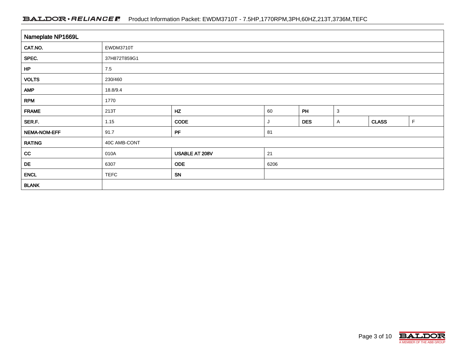#### BALDOR · RELIANCE F Product Information Packet: EWDM3710T - 7.5HP,1770RPM,3PH,60HZ,213T,3736M,TEFC

| Nameplate NP1669L |                             |                |      |            |   |              |   |  |  |
|-------------------|-----------------------------|----------------|------|------------|---|--------------|---|--|--|
| CAT.NO.           | EWDM3710T                   |                |      |            |   |              |   |  |  |
| SPEC.             | 37H872T859G1                |                |      |            |   |              |   |  |  |
| HP                | 7.5                         |                |      |            |   |              |   |  |  |
| <b>VOLTS</b>      | 230/460                     |                |      |            |   |              |   |  |  |
| <b>AMP</b>        | 18.8/9.4                    |                |      |            |   |              |   |  |  |
| <b>RPM</b>        | 1770                        |                |      |            |   |              |   |  |  |
| <b>FRAME</b>      | HZ<br>PH<br>60<br>213T<br>3 |                |      |            |   |              |   |  |  |
| SER.F.            | 1.15                        | CODE           | J    | <b>DES</b> | A | <b>CLASS</b> | F |  |  |
| NEMA-NOM-EFF      | 91.7                        | PF             | 81   |            |   |              |   |  |  |
| <b>RATING</b>     | 40C AMB-CONT                |                |      |            |   |              |   |  |  |
| cc                | 010A                        | USABLE AT 208V | 21   |            |   |              |   |  |  |
| DE                | 6307                        | <b>ODE</b>     | 6206 |            |   |              |   |  |  |
| <b>ENCL</b>       | <b>TEFC</b>                 | SN             |      |            |   |              |   |  |  |
| <b>BLANK</b>      |                             |                |      |            |   |              |   |  |  |

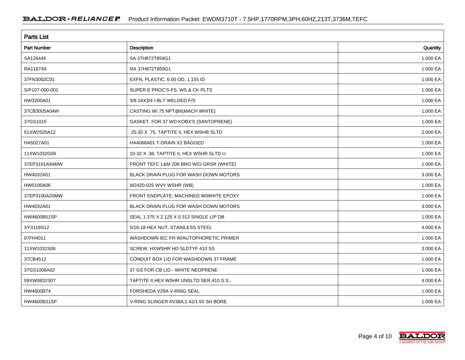| <b>Parts List</b>  |                                            |          |  |  |  |  |
|--------------------|--------------------------------------------|----------|--|--|--|--|
| <b>Part Number</b> | Description                                | Quantity |  |  |  |  |
| SA126444           | SA 37H872T859G1                            | 1.000 EA |  |  |  |  |
| RA116749           | RA 37H872T859G1                            | 1.000 EA |  |  |  |  |
| 37FN3002C01        | EXFN, PLASTIC, 6.00 OD, 1.155 ID           | 1.000 EA |  |  |  |  |
| S/P107-000-001     | SUPER E PROC'S-FS, WS & CK PLTS            | 1.000 EA |  |  |  |  |
| HW3200A01          | 3/8-16X3/4 I-BLT WELDED F/S                | 1.000 EA |  |  |  |  |
| 37CB3005A04W       | CASTING W/.75 NPT@6(MACH WHITE)            | 1.000 EA |  |  |  |  |
| 37GS1015           | GASKET, FOR 37 WD KOBX'S (SANTOPRENE)      | 1.000 EA |  |  |  |  |
| 51XW2520A12        | .25-20 X .75, TAPTITE II, HEX WSHR SLTD    | 2.000 EA |  |  |  |  |
| HA5027A01          | HA4066A01 T-DRAIN X2 BAGGED                | 1.000 EA |  |  |  |  |
| 11XW1032G06        | 10-32 X .38, TAPTITE II, HEX WSHR SLTD U   | 1.000 EA |  |  |  |  |
| 37EP3101A94MW      | FRONT TEFC L&M 206 BRG W/O GRSR (WHITE)    | 1.000 EA |  |  |  |  |
| HW4032A01          | BLACK DRAIN PLUG FOR WASH DOWN MOTORS      | 3.000 EA |  |  |  |  |
| HW5100A06          | W2420-025 WVY WSHR (WB)                    | 1.000 EA |  |  |  |  |
| 37EP3100A20MW      | FRONT ENDPLATE, MACHINED W/WHITE EPOXY     | 1.000 EA |  |  |  |  |
| HW4032A01          | BLACK DRAIN PLUG FOR WASH DOWN MOTORS      | 3.000 EA |  |  |  |  |
| HW4600B51SP        | SEAL 1.375 X 2.125 X 0.313 SINGLE LIP DB   | 1.000 EA |  |  |  |  |
| XY3118S12          | 5/16-18 HEX NUT, STAINLESS STEEL           | 4.000 EA |  |  |  |  |
| 07FH4011           | WASHDOWN IEC FH W/AUTOPHORETIC PRIMER      | 1.000 EA |  |  |  |  |
| 11XW1032S06        | SCREW, HXWSHR HD SLDTYF 410 SS             | 3.000 EA |  |  |  |  |
| 37CB4512           | CONDUIT BOX LID FOR WASHDOWN 37 FRAME      | 1.000 EA |  |  |  |  |
| 37GS1008A02        | 37 GS FOR CB LID - WHITE NEOPRENE          | 1.000 EA |  |  |  |  |
| 59XW0832S07        | TAPTITE II, HEX WSHR UNSLTD SER, 410 S.S., | 4.000 EA |  |  |  |  |
| HW4600B74          | FORSHEDA V28A V-RING SEAL                  | 1.000 EA |  |  |  |  |
| HW4600B31SP        | V-RING SLINGER #V38A, 1.42/1.50 SH BORE    | 1.000 EA |  |  |  |  |

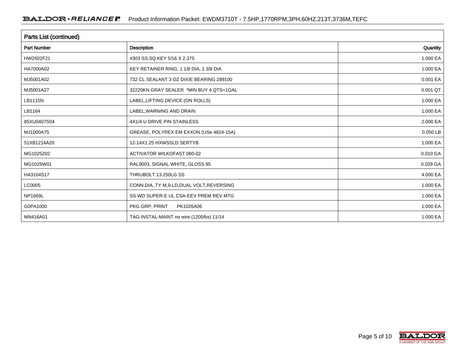| Parts List (continued) |                                             |          |  |  |  |  |
|------------------------|---------------------------------------------|----------|--|--|--|--|
| <b>Part Number</b>     | <b>Description</b>                          | Quantity |  |  |  |  |
| HW2502F21              | #303 SS, SQ KEY 5/16 X 2.375                | 1.000 EA |  |  |  |  |
| HA7000A02              | KEY RETAINER RING, 1 1/8 DIA, 1 3/8 DIA     | 1.000 EA |  |  |  |  |
| MJ5001A02              | 732 CL SEALANT 3 OZ DIXIE BEARING 289100    | 0.001 EA |  |  |  |  |
| MJ5001A27              | 32220KN GRAY SEALER *MIN BUY 4 QTS=1GAL     | 0.001 QT |  |  |  |  |
| LB1115N                | LABEL, LIFTING DEVICE (ON ROLLS)            | 1.000 EA |  |  |  |  |
| LB1164                 | LABEL, WARNING AND DRAIN                    | 1.000 EA |  |  |  |  |
| 85XU0407S04            | 4X1/4 U DRIVE PIN STAINLESS                 | 2.000 EA |  |  |  |  |
| MJ1000A75              | GREASE, POLYREX EM EXXON (USe 4824-15A)     | 0.050 LB |  |  |  |  |
| 51XB1214A20            | 12-14X1.25 HXWSSLD SERTYB                   | 1.000 EA |  |  |  |  |
| MG1025Z02              | <b>ACTIVATOR WILKOFAST 060-02</b>           | 0.010 GA |  |  |  |  |
| MG1025W01              | RAL9003, SIGNAL WHITE, GLOSS 85             | 0.028 GA |  |  |  |  |
| HA3104S17              | THRUBOLT 13.250LG SS                        | 4.000 EA |  |  |  |  |
| LC0005                 | CONN.DIA., TY M, 9-LD, DUAL VOLT, REVERSING | 1.000 EA |  |  |  |  |
| NP1669L                | SS WD SUPER-E UL CSA-EEV PREM REV MTG       | 1.000 EA |  |  |  |  |
| G0PA1000               | PKG GRP, PRINT<br>PK1026A06                 | 1.000 EA |  |  |  |  |
| MN416A01               | TAG-INSTAL-MAINT no wire (1200/bx) 11/14    | 1.000 EA |  |  |  |  |

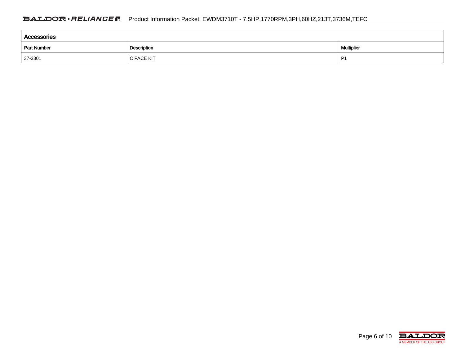| Accessories |            |    |  |  |  |  |  |
|-------------|------------|----|--|--|--|--|--|
| Part Number | Multiplier |    |  |  |  |  |  |
| $37 - 3301$ | C FACE KIT | P' |  |  |  |  |  |

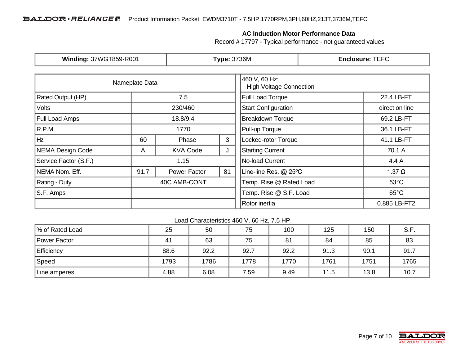#### **AC Induction Motor Performance Data**

Record # 17797 - Typical performance - not guaranteed values

| <b>Winding: 37WGT859-R001</b>            |                | <b>Type: 3736M</b>  |                                                 | <b>Enclosure: TEFC</b>     |                |  |
|------------------------------------------|----------------|---------------------|-------------------------------------------------|----------------------------|----------------|--|
|                                          | Nameplate Data |                     | 460 V, 60 Hz:<br><b>High Voltage Connection</b> |                            |                |  |
| <b>Rated Output (HP)</b><br>7.5          |                |                     | Full Load Torque                                | 22.4 LB-FT                 |                |  |
| Volts                                    | 230/460        |                     |                                                 | <b>Start Configuration</b> | direct on line |  |
| <b>Full Load Amps</b>                    | 18.8/9.4       |                     |                                                 | <b>Breakdown Torque</b>    | 69.2 LB-FT     |  |
| R.P.M.                                   | 1770           |                     |                                                 | Pull-up Torque             | 36.1 LB-FT     |  |
| Hz<br>3<br>60<br>Phase                   |                | Locked-rotor Torque | 41.1 LB-FT                                      |                            |                |  |
| NEMA Design Code<br><b>KVA Code</b><br>A |                |                     | J                                               | <b>Starting Current</b>    | 70.1 A         |  |
| Service Factor (S.F.)                    | 1.15           |                     | No-load Current                                 | 4.4 A                      |                |  |
| NEMA Nom. Eff.                           | 91.7           | Power Factor        | 81                                              | Line-line Res. @ 25°C      | $1.37 \Omega$  |  |
| Rating - Duty                            | 40C AMB-CONT   |                     |                                                 | Temp. Rise @ Rated Load    | $53^{\circ}$ C |  |
| S.F. Amps                                |                |                     |                                                 | Temp. Rise @ S.F. Load     | $65^{\circ}$ C |  |
|                                          |                |                     |                                                 | Rotor inertia              | 0.885 LB-FT2   |  |

#### Load Characteristics 460 V, 60 Hz, 7.5 HP

| % of Rated Load | 25   | 50   | 75   | 100  | 125  | 150  | S.F. |
|-----------------|------|------|------|------|------|------|------|
| Power Factor    | 41   | 63   | 75   | 81   | 84   | 85   | 83   |
| Efficiency      | 88.6 | 92.2 | 92.7 | 92.2 | 91.3 | 90.1 | 91.7 |
| Speed           | 1793 | 1786 | 1778 | 1770 | 1761 | 1751 | 1765 |
| Line amperes    | 4.88 | 6.08 | 7.59 | 9.49 | 11.5 | 13.8 | 10.7 |

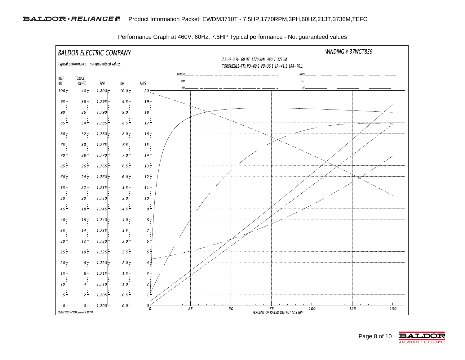

Performance Graph at 460V, 60Hz, 7.5HP Typical performance - Not guaranteed values

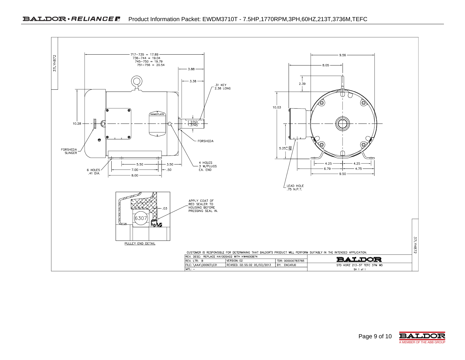